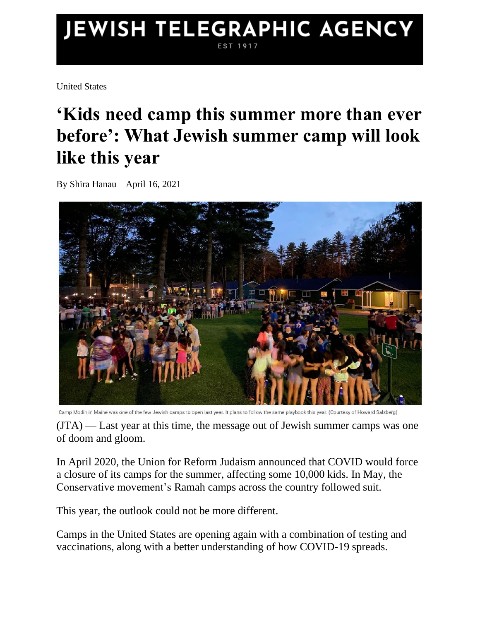## JEWISH TELEGRAPHIC AGENCY EST 1917

United States

## **'Kids need camp this summer more than ever before': What Jewish summer camp will look like this year**

By Shira Hanau April 16, 2021



Camp Modin in Maine was one of the few Jewish camps to open last year. It plans to follow the same playbook this year. (Courtesy of Howard Salzberg)

[\(JTA\)](http://www.jta.org/) — Last year at this time, the message out of Jewish summer camps was one of doom and gloom.

In April 2020, the [Union for Reform Judaism announced that COVID would force](https://www.jta.org/2020/04/30/united-states/its-official-jewish-camps-will-cancel-this-summer-due-to-covid-affecting-at-least-10000-kids)  [a closure of its camps for the summer,](https://www.jta.org/2020/04/30/united-states/its-official-jewish-camps-will-cancel-this-summer-due-to-covid-affecting-at-least-10000-kids) affecting some 10,000 kids. In May, the Conservative movement's [Ramah camps across the country followed suit.](https://www.jta.org/quick-reads/5-ramah-camps-cancel-their-2020-summers)

This year, the outlook could not be more different.

Camps in the United States are opening again with a combination of testing and vaccinations, along with a better understanding of how COVID-19 spreads.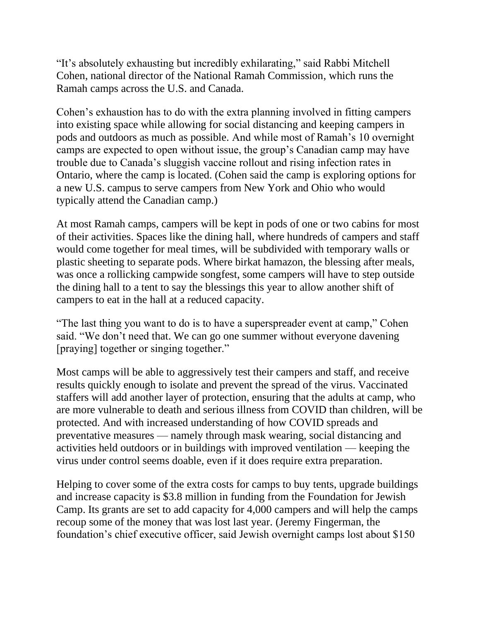"It's absolutely exhausting but incredibly exhilarating," said Rabbi Mitchell Cohen, national director of the National Ramah Commission, which runs the Ramah camps across the U.S. and Canada.

Cohen's exhaustion has to do with the extra planning involved in fitting campers into existing space while allowing for social distancing and keeping campers in pods and outdoors as much as possible. And while most of Ramah's 10 overnight camps are expected to open without issue, the group's Canadian camp may have trouble due to Canada's sluggish vaccine rollout and rising infection rates in Ontario, where the camp is located. (Cohen said the camp is exploring options for a new U.S. campus to serve campers from New York and Ohio who would typically attend the Canadian camp.)

At most Ramah camps, campers will be kept in pods of one or two cabins for most of their activities. Spaces like the dining hall, where hundreds of campers and staff would come together for meal times, will be subdivided with temporary walls or plastic sheeting to separate pods. Where birkat hamazon, the blessing after meals, was once a rollicking campwide songfest, some campers will have to step outside the dining hall to a tent to say the blessings this year to allow another shift of campers to eat in the hall at a reduced capacity.

"The last thing you want to do is to have a superspreader event at camp," Cohen said. "We don't need that. We can go one summer without everyone davening [praying] together or singing together."

Most camps will be able to aggressively test their campers and staff, and receive results quickly enough to isolate and prevent the spread of the virus. Vaccinated staffers will add another layer of protection, ensuring that the adults at camp, who are more vulnerable to death and serious illness from COVID than children, will be protected. And with increased understanding of how COVID spreads and preventative measures — namely through mask wearing, social distancing and activities held outdoors or in buildings with improved ventilation — keeping the virus under control seems doable, even if it does require extra preparation.

Helping to cover some of the extra costs for camps to buy tents, upgrade buildings and increase capacity is \$3.8 million in funding from the Foundation for Jewish Camp. Its grants are set to add capacity for 4,000 campers and will help the camps recoup some of the money that was lost last year. (Jeremy Fingerman, the foundation's chief executive officer, said Jewish overnight camps lost about \$150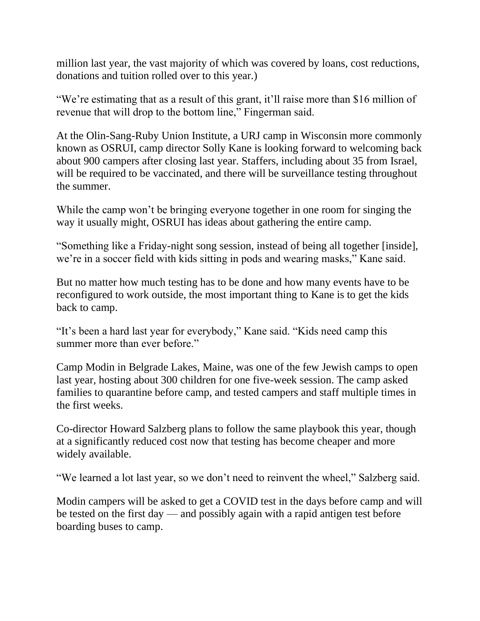million last year, the vast majority of which was covered by loans, cost reductions, donations and tuition rolled over to this year.)

"We're estimating that as a result of this grant, it'll raise more than \$16 million of revenue that will drop to the bottom line," Fingerman said.

At the Olin-Sang-Ruby Union Institute, a URJ camp in Wisconsin more commonly known as OSRUI, camp director Solly Kane is looking forward to welcoming back about 900 campers after closing last year. Staffers, including about 35 from Israel, will be required to be vaccinated, and there will be surveillance testing throughout the summer.

While the camp won't be bringing everyone together in one room for singing the way it usually might, OSRUI has ideas about gathering the entire camp.

"Something like a Friday-night song session, instead of being all together [inside], we're in a soccer field with kids sitting in pods and wearing masks," Kane said.

But no matter how much testing has to be done and how many events have to be reconfigured to work outside, the most important thing to Kane is to get the kids back to camp.

"It's been a hard last year for everybody," Kane said. "Kids need camp this summer more than ever before."

Camp Modin in Belgrade Lakes, Maine, was [one of the few Jewish camps to open](https://www.jta.org/2020/05/18/united-states/a-jewish-camp-in-maine-is-actually-opening-heres-how-it-plans-to-keep-covid-19-away)  [last year,](https://www.jta.org/2020/05/18/united-states/a-jewish-camp-in-maine-is-actually-opening-heres-how-it-plans-to-keep-covid-19-away) hosting about 300 children for one five-week session. The camp asked families to quarantine before camp, and tested campers and staff multiple times in the first weeks.

Co-director Howard Salzberg plans to follow the same playbook this year, though at a significantly reduced cost now that testing has become cheaper and more widely available.

"We learned a lot last year, so we don't need to reinvent the wheel," Salzberg said.

Modin campers will be asked to get a COVID test in the days before camp and will be tested on the first day — and possibly again with a rapid antigen test before boarding buses to camp.